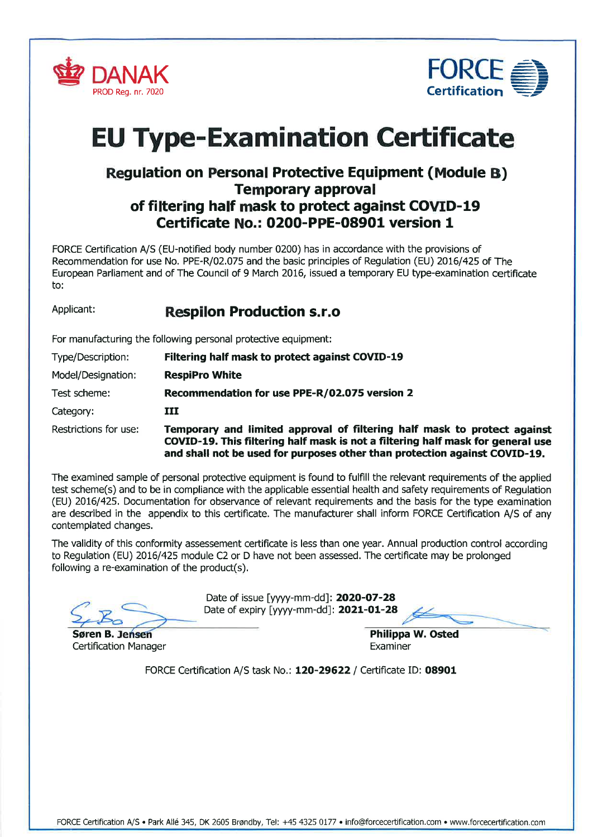



# **EU Type-Examination Certificate**

# Regulation on Personal Protective Equipment (Module B) Temporary approval of filtering half mask to protect against COVID-l9 Ceftificate No.: O200-PPE-08901 version 1

FORCE Ceftifìcation A/S (EU-notified body number 0200) has in accordance with the provisions of Recommendation for use No. PPE-R/02.075 and the basic principles of Regulation (EU) 2016/425 of The European Parliament and of The Council of 9 March 2016, issued a temporary EU type-examination ceftificate to:

# Applicant: Respilon Production s.r.o

For manufacturing the following personal protective equipment:

| Type/Description:     | Filtering half mask to protect against COVID-19                                                                                                                                                                                           |
|-----------------------|-------------------------------------------------------------------------------------------------------------------------------------------------------------------------------------------------------------------------------------------|
| Model/Designation:    | <b>RespiPro White</b>                                                                                                                                                                                                                     |
| Test scheme:          | Recommendation for use PPE-R/02.075 version 2                                                                                                                                                                                             |
| Category:             | III                                                                                                                                                                                                                                       |
| Restrictions for use: | Temporary and limited approval of filtering half mask to protect against<br>COVID-19. This filtering half mask is not a filtering half mask for general use<br>and shall not be used for purposes other than protection against COVID-19. |

The examined sample of personal protective equipment is found to fulfill the relevant requirements of the applied test scheme(s) and to be in compliance with the applicable essential health and safety requirements of Regulation (EU) 2016/425. Documentation for observance of relevant requirements and the basis for the type examination are described in the appendix to this ceftifìcate. The manufacturer shall inform FORCE Ceftification A/S of any contemplated changes.

The validity of this conformity assessement certificate is less than one year. Annual production control according to Regulation (EU) 2016/425 module C2 or D have not been assessed. The certificate may be prolonged following a re-examination of the product(s).

Søren B. Philippa W. Osted Certification Manager **Examiner** Examiner

Date of issue [yyyy-mm-dd]: 2020-07-28 Date of expiry [yyyy-mm-dd]: 2021-01-28

FORCE Certification A/S task No.: 120-29622 / Certificate ID: 08901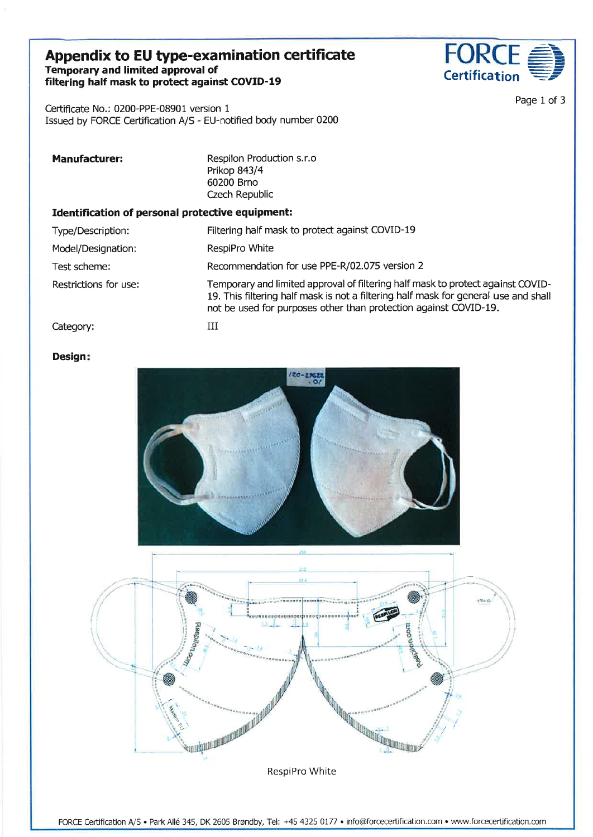## Appendix to EU type-examination certificate Temporary and limited approval of filtering half mask to protect against COVID-19



Page 1 of 3

Certificate No.: 0200-PPE-08901 version <sup>1</sup> Issued by FORCE Certification A/S - EU-notified body number 0200

| <b>Manufacturer:</b>                             | Respilon Production s.r.o<br>Prikop 843/4<br>60200 Brno<br>Czech Republic                                                                                                                                                                  |  |
|--------------------------------------------------|--------------------------------------------------------------------------------------------------------------------------------------------------------------------------------------------------------------------------------------------|--|
| Identification of personal protective equipment: |                                                                                                                                                                                                                                            |  |
| Type/Description:                                | Filtering half mask to protect against COVID-19                                                                                                                                                                                            |  |
| Model/Designation:                               | RespiPro White                                                                                                                                                                                                                             |  |
| Test scheme:                                     | Recommendation for use PPE-R/02.075 version 2                                                                                                                                                                                              |  |
| Restrictions for use:                            | Temporary and limited approval of filtering half mask to protect against COVID-<br>19. This filtering half mask is not a filtering half mask for general use and shall<br>not be used for purposes other than protection against COVID-19. |  |
| Category:                                        | Ш                                                                                                                                                                                                                                          |  |

#### Design



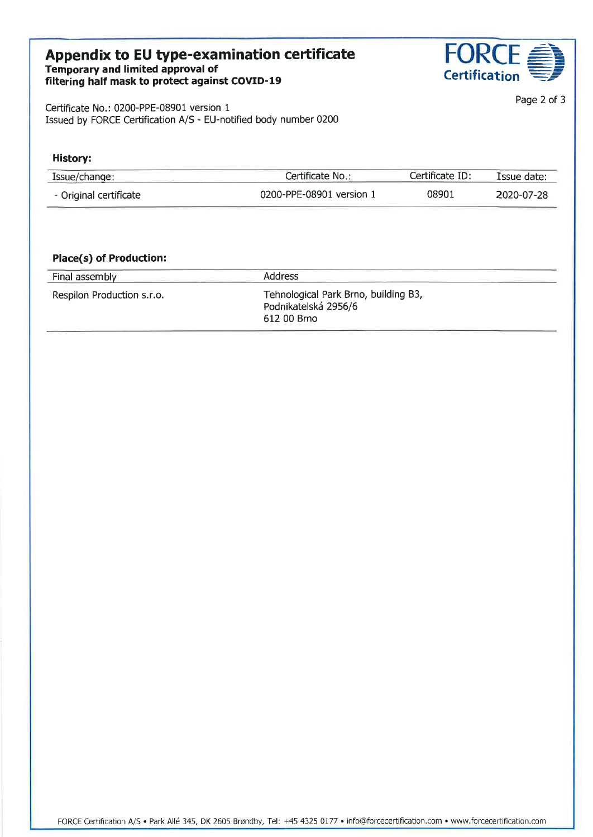# Appendix to EU type-examination certificate  $\blacksquare$   $\blacksquare$   $\blacksquare$   $\blacksquare$   $\blacksquare$ Temporary and limited approval of Appendix to EU type-examination certificate<br>
Temporary and limited approval of<br>
filtering half mask to protect against COVID-19<br>
Certification



Page 2 of 3

Certificate No.: 0200-PPE-08901 version <sup>1</sup> Issued by FORCE Certification A/S - EU-notified body number 0200

| History:               |                          |                 |             |
|------------------------|--------------------------|-----------------|-------------|
| Issue/change:          | Certificate No.:         | Certificate ID: | Issue date: |
| - Original certificate | 0200-PPE-08901 version 1 | 08901           | 2020-07-28  |

## Place(s) of Production:

| Final assembly             | <b>Address</b>                                                              |  |
|----------------------------|-----------------------------------------------------------------------------|--|
| Respilon Production s.r.o. | Tehnological Park Brno, building B3,<br>Podnikatelská 2956/6<br>612 00 Brno |  |